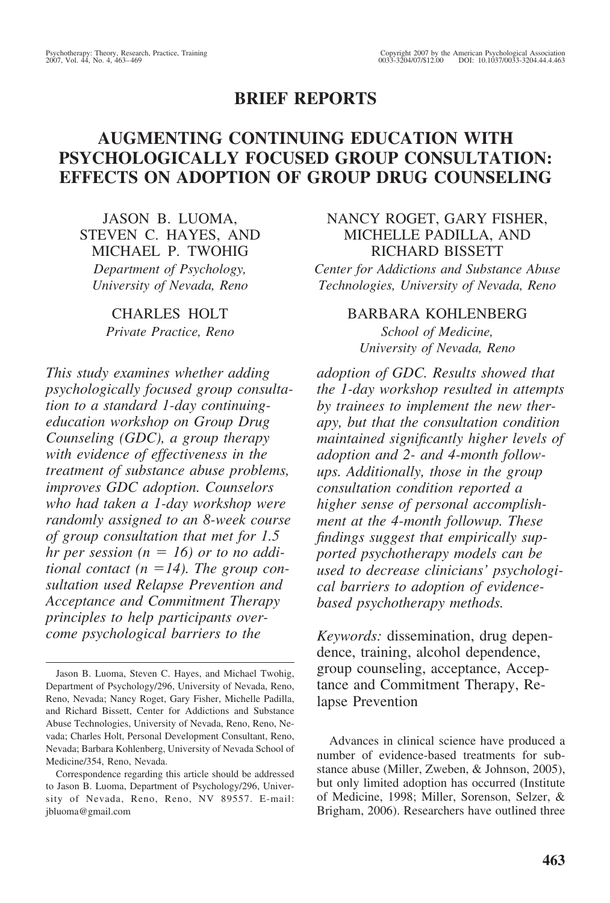# **BRIEF REPORTS**

# **AUGMENTING CONTINUING EDUCATION WITH PSYCHOLOGICALLY FOCUSED GROUP CONSULTATION: EFFECTS ON ADOPTION OF GROUP DRUG COUNSELING**

JASON B. LUOMA, STEVEN C. HAYES, AND MICHAEL P. TWOHIG *Department of Psychology, University of Nevada, Reno*

> CHARLES HOLT *Private Practice, Reno*

*This study examines whether adding psychologically focused group consultation to a standard 1-day continuingeducation workshop on Group Drug Counseling (GDC), a group therapy with evidence of effectiveness in the treatment of substance abuse problems, improves GDC adoption. Counselors who had taken a 1-day workshop were randomly assigned to an 8-week course of group consultation that met for 1.5 hr per session*  $(n = 16)$  *or to no additional contact* ( $n = 14$ ). The group con*sultation used Relapse Prevention and Acceptance and Commitment Therapy principles to help participants overcome psychological barriers to the*

# NANCY ROGET, GARY FISHER, MICHELLE PADILLA, AND RICHARD BISSETT

*Center for Addictions and Substance Abuse Technologies, University of Nevada, Reno*

## BARBARA KOHLENBERG

*School of Medicine, University of Nevada, Reno*

*adoption of GDC. Results showed that the 1-day workshop resulted in attempts by trainees to implement the new therapy, but that the consultation condition maintained significantly higher levels of adoption and 2- and 4-month followups. Additionally, those in the group consultation condition reported a higher sense of personal accomplishment at the 4-month followup. These findings suggest that empirically supported psychotherapy models can be used to decrease clinicians' psychological barriers to adoption of evidencebased psychotherapy methods.*

*Keywords:* dissemination, drug dependence, training, alcohol dependence, group counseling, acceptance, Acceptance and Commitment Therapy, Relapse Prevention

Advances in clinical science have produced a number of evidence-based treatments for substance abuse (Miller, Zweben, & Johnson, 2005), but only limited adoption has occurred (Institute of Medicine, 1998; Miller, Sorenson, Selzer, & Brigham, 2006). Researchers have outlined three

Jason B. Luoma, Steven C. Hayes, and Michael Twohig, Department of Psychology/296, University of Nevada, Reno, Reno, Nevada; Nancy Roget, Gary Fisher, Michelle Padilla, and Richard Bissett, Center for Addictions and Substance Abuse Technologies, University of Nevada, Reno, Reno, Nevada; Charles Holt, Personal Development Consultant, Reno, Nevada; Barbara Kohlenberg, University of Nevada School of Medicine/354, Reno, Nevada.

Correspondence regarding this article should be addressed to Jason B. Luoma, Department of Psychology/296, University of Nevada, Reno, Reno, NV 89557. E-mail: jbluoma@gmail.com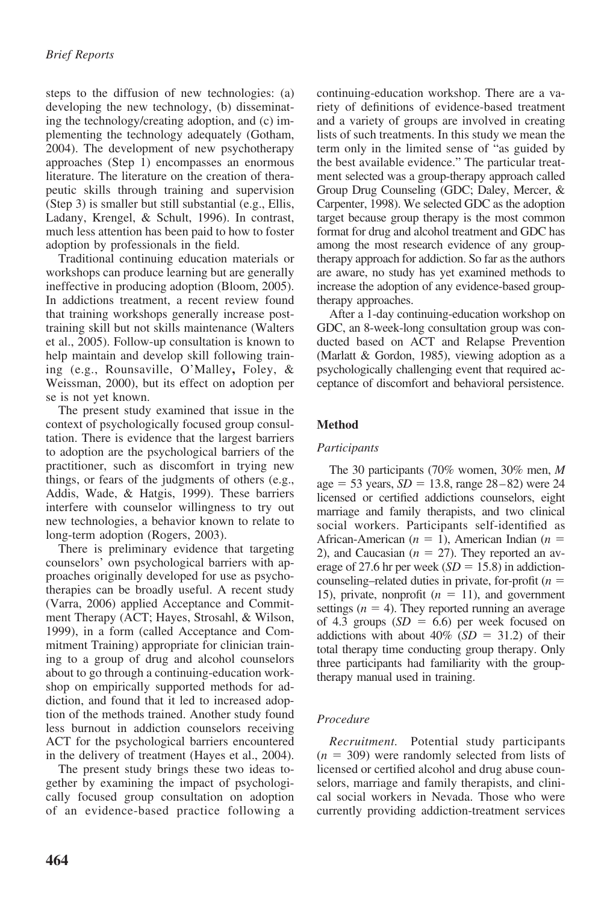steps to the diffusion of new technologies: (a) developing the new technology, (b) disseminating the technology/creating adoption, and (c) implementing the technology adequately (Gotham, 2004). The development of new psychotherapy approaches (Step 1) encompasses an enormous literature. The literature on the creation of therapeutic skills through training and supervision (Step 3) is smaller but still substantial (e.g., Ellis, Ladany, Krengel, & Schult, 1996). In contrast, much less attention has been paid to how to foster adoption by professionals in the field.

Traditional continuing education materials or workshops can produce learning but are generally ineffective in producing adoption (Bloom, 2005). In addictions treatment, a recent review found that training workshops generally increase posttraining skill but not skills maintenance (Walters et al., 2005). Follow-up consultation is known to help maintain and develop skill following training (e.g., Rounsaville, O'Malley**,** Foley, & Weissman, 2000), but its effect on adoption per se is not yet known.

The present study examined that issue in the context of psychologically focused group consultation. There is evidence that the largest barriers to adoption are the psychological barriers of the practitioner, such as discomfort in trying new things, or fears of the judgments of others (e.g., Addis, Wade, & Hatgis, 1999). These barriers interfere with counselor willingness to try out new technologies, a behavior known to relate to long-term adoption (Rogers, 2003).

There is preliminary evidence that targeting counselors' own psychological barriers with approaches originally developed for use as psychotherapies can be broadly useful. A recent study (Varra, 2006) applied Acceptance and Commitment Therapy (ACT; Hayes, Strosahl, & Wilson, 1999), in a form (called Acceptance and Commitment Training) appropriate for clinician training to a group of drug and alcohol counselors about to go through a continuing-education workshop on empirically supported methods for addiction, and found that it led to increased adoption of the methods trained. Another study found less burnout in addiction counselors receiving ACT for the psychological barriers encountered in the delivery of treatment (Hayes et al., 2004).

The present study brings these two ideas together by examining the impact of psychologically focused group consultation on adoption of an evidence-based practice following a continuing-education workshop. There are a variety of definitions of evidence-based treatment and a variety of groups are involved in creating lists of such treatments. In this study we mean the term only in the limited sense of "as guided by the best available evidence." The particular treatment selected was a group-therapy approach called Group Drug Counseling (GDC; Daley, Mercer, & Carpenter, 1998). We selected GDC as the adoption target because group therapy is the most common format for drug and alcohol treatment and GDC has among the most research evidence of any grouptherapy approach for addiction. So far as the authors are aware, no study has yet examined methods to increase the adoption of any evidence-based grouptherapy approaches.

After a 1-day continuing-education workshop on GDC, an 8-week-long consultation group was conducted based on ACT and Relapse Prevention (Marlatt & Gordon, 1985), viewing adoption as a psychologically challenging event that required acceptance of discomfort and behavioral persistence.

## **Method**

## *Participants*

The 30 participants (70% women, 30% men, *M*  $age = 53 \text{ years}, SD = 13.8, range 28–82) were 24$ licensed or certified addictions counselors, eight marriage and family therapists, and two clinical social workers. Participants self-identified as African-American  $(n = 1)$ , American Indian  $(n = 1)$ 2), and Caucasian  $(n = 27)$ . They reported an average of 27.6 hr per week  $(SD = 15.8)$  in addictioncounseling–related duties in private, for-profit (*n* 15), private, nonprofit  $(n = 11)$ , and government settings  $(n = 4)$ . They reported running an average of 4.3 groups  $(SD = 6.6)$  per week focused on addictions with about  $40\%$  (*SD* = 31.2) of their total therapy time conducting group therapy. Only three participants had familiarity with the grouptherapy manual used in training.

## *Procedure*

*Recruitment.* Potential study participants  $(n = 309)$  were randomly selected from lists of licensed or certified alcohol and drug abuse counselors, marriage and family therapists, and clinical social workers in Nevada. Those who were currently providing addiction-treatment services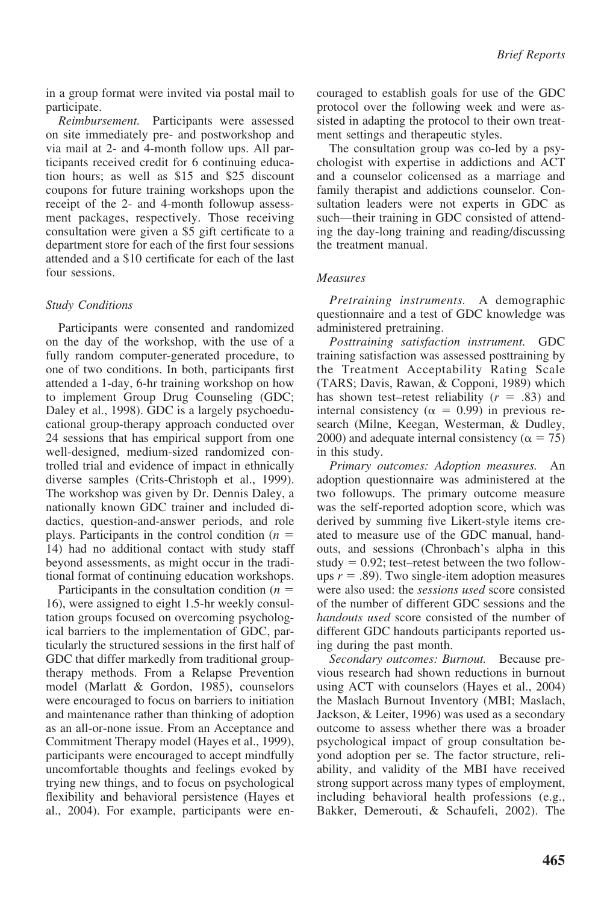in a group format were invited via postal mail to participate.

*Reimbursement.* Participants were assessed on site immediately pre- and postworkshop and via mail at 2- and 4-month follow ups. All participants received credit for 6 continuing education hours; as well as \$15 and \$25 discount coupons for future training workshops upon the receipt of the 2- and 4-month followup assessment packages, respectively. Those receiving consultation were given a \$5 gift certificate to a department store for each of the first four sessions attended and a \$10 certificate for each of the last four sessions.

### *Study Conditions*

Participants were consented and randomized on the day of the workshop, with the use of a fully random computer-generated procedure, to one of two conditions. In both, participants first attended a 1-day, 6-hr training workshop on how to implement Group Drug Counseling (GDC; Daley et al., 1998). GDC is a largely psychoeducational group-therapy approach conducted over 24 sessions that has empirical support from one well-designed, medium-sized randomized controlled trial and evidence of impact in ethnically diverse samples (Crits-Christoph et al., 1999). The workshop was given by Dr. Dennis Daley, a nationally known GDC trainer and included didactics, question-and-answer periods, and role plays. Participants in the control condition (*n* 14) had no additional contact with study staff beyond assessments, as might occur in the traditional format of continuing education workshops.

Participants in the consultation condition (*n* 16), were assigned to eight 1.5-hr weekly consultation groups focused on overcoming psychological barriers to the implementation of GDC, particularly the structured sessions in the first half of GDC that differ markedly from traditional grouptherapy methods. From a Relapse Prevention model (Marlatt & Gordon, 1985), counselors were encouraged to focus on barriers to initiation and maintenance rather than thinking of adoption as an all-or-none issue. From an Acceptance and Commitment Therapy model (Hayes et al., 1999), participants were encouraged to accept mindfully uncomfortable thoughts and feelings evoked by trying new things, and to focus on psychological flexibility and behavioral persistence (Hayes et al., 2004). For example, participants were encouraged to establish goals for use of the GDC protocol over the following week and were assisted in adapting the protocol to their own treatment settings and therapeutic styles.

The consultation group was co-led by a psychologist with expertise in addictions and ACT and a counselor colicensed as a marriage and family therapist and addictions counselor. Consultation leaders were not experts in GDC as such—their training in GDC consisted of attending the day-long training and reading/discussing the treatment manual.

### *Measures*

*Pretraining instruments.* A demographic questionnaire and a test of GDC knowledge was administered pretraining.

*Posttraining satisfaction instrument.* GDC training satisfaction was assessed posttraining by the Treatment Acceptability Rating Scale (TARS; Davis, Rawan, & Copponi, 1989) which has shown test–retest reliability  $(r = .83)$  and internal consistency ( $\alpha = 0.99$ ) in previous research (Milne, Keegan, Westerman, & Dudley, 2000) and adequate internal consistency ( $\alpha = 75$ ) in this study.

*Primary outcomes: Adoption measures.* An adoption questionnaire was administered at the two followups. The primary outcome measure was the self-reported adoption score, which was derived by summing five Likert-style items created to measure use of the GDC manual, handouts, and sessions (Chronbach's alpha in this study  $= 0.92$ ; test–retest between the two followups  $r = .89$ ). Two single-item adoption measures were also used: the *sessions used* score consisted of the number of different GDC sessions and the *handouts used* score consisted of the number of different GDC handouts participants reported using during the past month.

*Secondary outcomes: Burnout.* Because previous research had shown reductions in burnout using ACT with counselors (Hayes et al., 2004) the Maslach Burnout Inventory (MBI; Maslach, Jackson, & Leiter, 1996) was used as a secondary outcome to assess whether there was a broader psychological impact of group consultation beyond adoption per se. The factor structure, reliability, and validity of the MBI have received strong support across many types of employment, including behavioral health professions (e.g., Bakker, Demerouti, & Schaufeli, 2002). The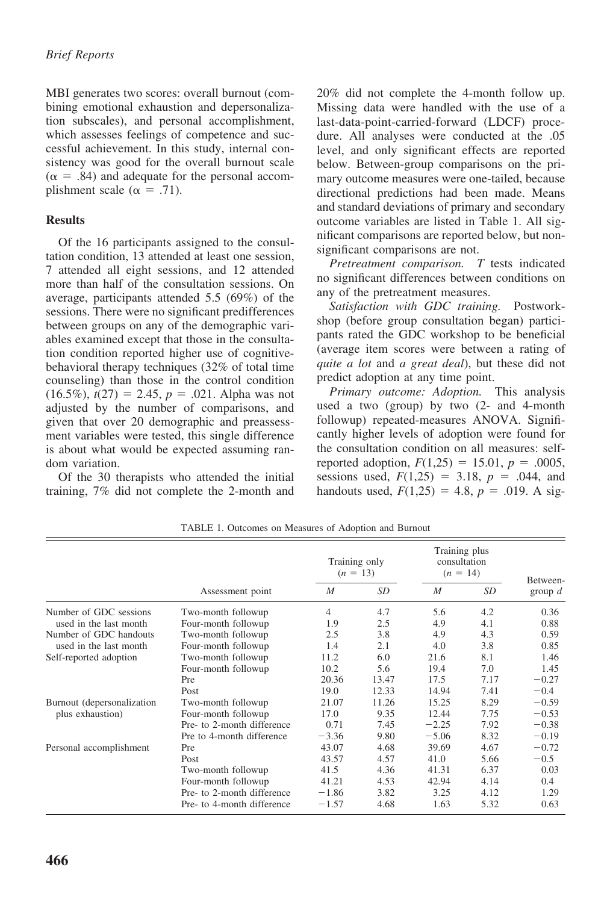MBI generates two scores: overall burnout (combining emotional exhaustion and depersonalization subscales), and personal accomplishment, which assesses feelings of competence and successful achievement. In this study, internal consistency was good for the overall burnout scale  $(\alpha = .84)$  and adequate for the personal accomplishment scale ( $\alpha = .71$ ).

### **Results**

Of the 16 participants assigned to the consultation condition, 13 attended at least one session, 7 attended all eight sessions, and 12 attended more than half of the consultation sessions. On average, participants attended 5.5 (69%) of the sessions. There were no significant predifferences between groups on any of the demographic variables examined except that those in the consultation condition reported higher use of cognitivebehavioral therapy techniques (32% of total time counseling) than those in the control condition  $(16.5\%)$ ,  $t(27) = 2.45$ ,  $p = .021$ . Alpha was not adjusted by the number of comparisons, and given that over 20 demographic and preassessment variables were tested, this single difference is about what would be expected assuming random variation.

Of the 30 therapists who attended the initial training, 7% did not complete the 2-month and 20% did not complete the 4-month follow up. Missing data were handled with the use of a last-data-point-carried-forward (LDCF) procedure. All analyses were conducted at the .05 level, and only significant effects are reported below. Between-group comparisons on the primary outcome measures were one-tailed, because directional predictions had been made. Means and standard deviations of primary and secondary outcome variables are listed in Table 1. All significant comparisons are reported below, but nonsignificant comparisons are not.

*Pretreatment comparison. T* tests indicated no significant differences between conditions on any of the pretreatment measures.

*Satisfaction with GDC training.* Postworkshop (before group consultation began) participants rated the GDC workshop to be beneficial (average item scores were between a rating of *quite a lot* and *a great deal*), but these did not predict adoption at any time point.

*Primary outcome: Adoption.* This analysis used a two (group) by two (2- and 4-month followup) repeated-measures ANOVA. Significantly higher levels of adoption were found for the consultation condition on all measures: selfreported adoption,  $F(1,25) = 15.01$ ,  $p = .0005$ , sessions used,  $F(1,25) = 3.18$ ,  $p = .044$ , and handouts used,  $F(1,25) = 4.8$ ,  $p = .019$ . A sig-

|                                                                                                                                | Assessment point           | Training only<br>$(n = 13)$ |       | Training plus<br>consultation<br>$(n = 14)$ |      | Between-  |
|--------------------------------------------------------------------------------------------------------------------------------|----------------------------|-----------------------------|-------|---------------------------------------------|------|-----------|
|                                                                                                                                |                            | M                           | SD    | M                                           | SD   | group $d$ |
| Number of GDC sessions<br>used in the last month<br>Number of GDC handouts<br>used in the last month<br>Self-reported adoption | Two-month followup         | $\overline{4}$              | 4.7   | 5.6                                         | 4.2  | 0.36      |
|                                                                                                                                | Four-month followup        | 1.9                         | 2.5   | 4.9                                         | 4.1  | 0.88      |
|                                                                                                                                | Two-month followup         | 2.5                         | 3.8   | 4.9                                         | 4.3  | 0.59      |
|                                                                                                                                | Four-month followup        | 1.4                         | 2.1   | 4.0                                         | 3.8  | 0.85      |
|                                                                                                                                | Two-month followup         | 11.2                        | 6.0   | 21.6                                        | 8.1  | 1.46      |
|                                                                                                                                | Four-month followup        | 10.2                        | 5.6   | 19.4                                        | 7.0  | 1.45      |
|                                                                                                                                | Pre                        | 20.36                       | 13.47 | 17.5                                        | 7.17 | $-0.27$   |
|                                                                                                                                | Post                       | 19.0                        | 12.33 | 14.94                                       | 7.41 | $-0.4$    |
| Burnout (depersonalization<br>plus exhaustion)                                                                                 | Two-month followup         | 21.07                       | 11.26 | 15.25                                       | 8.29 | $-0.59$   |
|                                                                                                                                | Four-month followup        | 17.0                        | 9.35  | 12.44                                       | 7.75 | $-0.53$   |
|                                                                                                                                | Pre- to 2-month difference | 0.71                        | 7.45  | $-2.25$                                     | 7.92 | $-0.38$   |
|                                                                                                                                | Pre to 4-month difference  | $-3.36$                     | 9.80  | $-5.06$                                     | 8.32 | $-0.19$   |
| Personal accomplishment                                                                                                        | Pre                        | 43.07                       | 4.68  | 39.69                                       | 4.67 | $-0.72$   |
|                                                                                                                                | Post                       | 43.57                       | 4.57  | 41.0                                        | 5.66 | $-0.5$    |
|                                                                                                                                | Two-month followup         | 41.5                        | 4.36  | 41.31                                       | 6.37 | 0.03      |
|                                                                                                                                | Four-month followup        | 41.21                       | 4.53  | 42.94                                       | 4.14 | 0.4       |
|                                                                                                                                | Pre- to 2-month difference | $-1.86$                     | 3.82  | 3.25                                        | 4.12 | 1.29      |
|                                                                                                                                | Pre- to 4-month difference | $-1.57$                     | 4.68  | 1.63                                        | 5.32 | 0.63      |

TABLE 1. Outcomes on Measures of Adoption and Burnout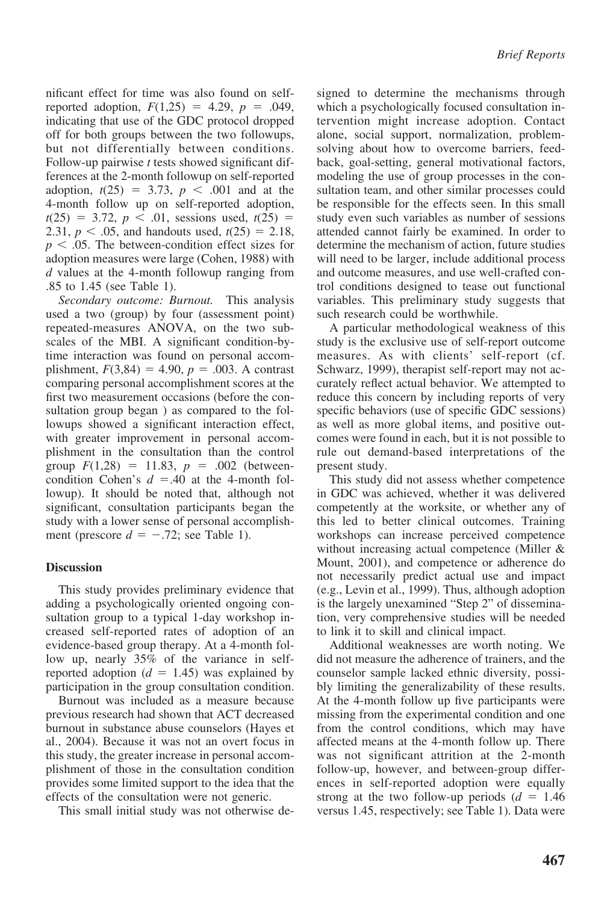nificant effect for time was also found on selfreported adoption,  $F(1,25) = 4.29$ ,  $p = .049$ , indicating that use of the GDC protocol dropped off for both groups between the two followups, but not differentially between conditions. Follow-up pairwise *t* tests showed significant differences at the 2-month followup on self-reported adoption,  $t(25) = 3.73$ ,  $p < .001$  and at the 4-month follow up on self-reported adoption,  $t(25) = 3.72, p < .01$ , sessions used,  $t(25) =$ 2.31,  $p < .05$ , and handouts used,  $t(25) = 2.18$ ,  $p < .05$ . The between-condition effect sizes for adoption measures were large (Cohen, 1988) with *d* values at the 4-month followup ranging from .85 to 1.45 (see Table 1).

*Secondary outcome: Burnout.* This analysis used a two (group) by four (assessment point) repeated-measures ANOVA, on the two subscales of the MBI. A significant condition-bytime interaction was found on personal accomplishment,  $F(3,84) = 4.90$ ,  $p = .003$ . A contrast comparing personal accomplishment scores at the first two measurement occasions (before the consultation group began ) as compared to the followups showed a significant interaction effect, with greater improvement in personal accomplishment in the consultation than the control group  $F(1,28) = 11.83$ ,  $p = .002$  (betweencondition Cohen's  $d = .40$  at the 4-month followup). It should be noted that, although not significant, consultation participants began the study with a lower sense of personal accomplishment (prescore  $d = -.72$ ; see Table 1).

#### **Discussion**

This study provides preliminary evidence that adding a psychologically oriented ongoing consultation group to a typical 1-day workshop increased self-reported rates of adoption of an evidence-based group therapy. At a 4-month follow up, nearly 35% of the variance in selfreported adoption  $(d = 1.45)$  was explained by participation in the group consultation condition.

Burnout was included as a measure because previous research had shown that ACT decreased burnout in substance abuse counselors (Hayes et al., 2004). Because it was not an overt focus in this study, the greater increase in personal accomplishment of those in the consultation condition provides some limited support to the idea that the effects of the consultation were not generic.

This small initial study was not otherwise de-

signed to determine the mechanisms through which a psychologically focused consultation intervention might increase adoption. Contact alone, social support, normalization, problemsolving about how to overcome barriers, feedback, goal-setting, general motivational factors, modeling the use of group processes in the consultation team, and other similar processes could be responsible for the effects seen. In this small study even such variables as number of sessions attended cannot fairly be examined. In order to determine the mechanism of action, future studies will need to be larger, include additional process and outcome measures, and use well-crafted control conditions designed to tease out functional variables. This preliminary study suggests that such research could be worthwhile.

A particular methodological weakness of this study is the exclusive use of self-report outcome measures. As with clients' self-report (cf. Schwarz, 1999), therapist self-report may not accurately reflect actual behavior. We attempted to reduce this concern by including reports of very specific behaviors (use of specific GDC sessions) as well as more global items, and positive outcomes were found in each, but it is not possible to rule out demand-based interpretations of the present study.

This study did not assess whether competence in GDC was achieved, whether it was delivered competently at the worksite, or whether any of this led to better clinical outcomes. Training workshops can increase perceived competence without increasing actual competence (Miller & Mount, 2001), and competence or adherence do not necessarily predict actual use and impact (e.g., Levin et al., 1999). Thus, although adoption is the largely unexamined "Step 2" of dissemination, very comprehensive studies will be needed to link it to skill and clinical impact.

Additional weaknesses are worth noting. We did not measure the adherence of trainers, and the counselor sample lacked ethnic diversity, possibly limiting the generalizability of these results. At the 4-month follow up five participants were missing from the experimental condition and one from the control conditions, which may have affected means at the 4-month follow up. There was not significant attrition at the 2-month follow-up, however, and between-group differences in self-reported adoption were equally strong at the two follow-up periods  $(d = 1.46)$ versus 1.45, respectively; see Table 1). Data were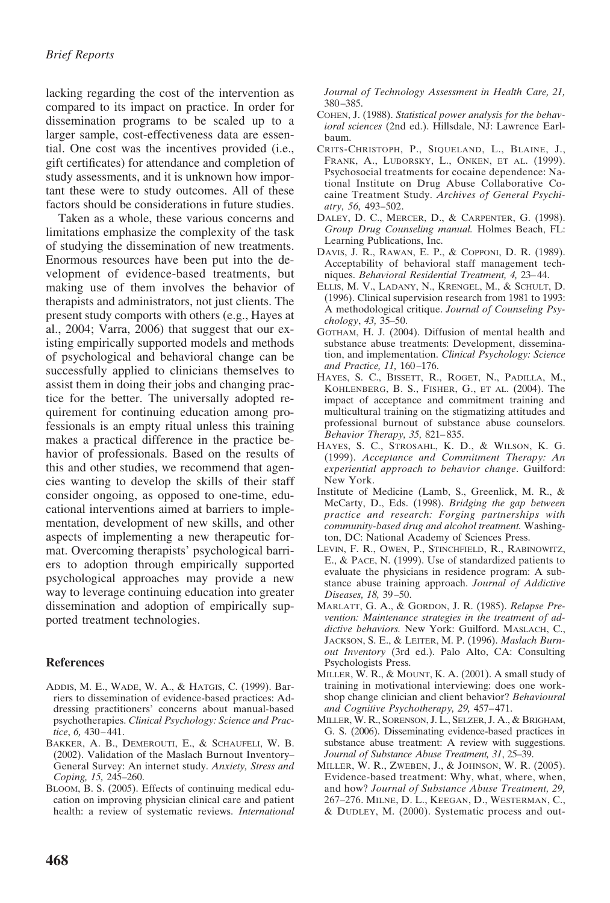lacking regarding the cost of the intervention as compared to its impact on practice. In order for dissemination programs to be scaled up to a larger sample, cost-effectiveness data are essential. One cost was the incentives provided (i.e., gift certificates) for attendance and completion of study assessments, and it is unknown how important these were to study outcomes. All of these factors should be considerations in future studies.

Taken as a whole, these various concerns and limitations emphasize the complexity of the task of studying the dissemination of new treatments. Enormous resources have been put into the development of evidence-based treatments, but making use of them involves the behavior of therapists and administrators, not just clients. The present study comports with others (e.g., Hayes at al., 2004; Varra, 2006) that suggest that our existing empirically supported models and methods of psychological and behavioral change can be successfully applied to clinicians themselves to assist them in doing their jobs and changing practice for the better. The universally adopted requirement for continuing education among professionals is an empty ritual unless this training makes a practical difference in the practice behavior of professionals. Based on the results of this and other studies, we recommend that agencies wanting to develop the skills of their staff consider ongoing, as opposed to one-time, educational interventions aimed at barriers to implementation, development of new skills, and other aspects of implementing a new therapeutic format. Overcoming therapists' psychological barriers to adoption through empirically supported psychological approaches may provide a new way to leverage continuing education into greater dissemination and adoption of empirically supported treatment technologies.

### **References**

- ADDIS, M. E., WADE, W. A., & HATGIS, C. (1999). Barriers to dissemination of evidence-based practices: Addressing practitioners' concerns about manual-based psychotherapies. *Clinical Psychology: Science and Practice*, *6,* 430–441.
- BAKKER, A. B., DEMEROUTI, E., & SCHAUFELI, W. B. (2002). Validation of the Maslach Burnout Inventory– General Survey: An internet study. *Anxiety, Stress and Coping, 15,* 245–260.
- BLOOM, B. S. (2005). Effects of continuing medical education on improving physician clinical care and patient health: a review of systematic reviews. *International*

*Journal of Technology Assessment in Health Care, 21,* 380–385.

- COHEN, J. (1988). *Statistical power analysis for the behavioral sciences* (2nd ed.). Hillsdale, NJ: Lawrence Earlbaum.
- CRITS-CHRISTOPH, P., SIQUELAND, L., BLAINE, J., FRANK, A., LUBORSKY, L., ONKEN, ET AL. (1999). Psychosocial treatments for cocaine dependence: National Institute on Drug Abuse Collaborative Cocaine Treatment Study. *Archives of General Psychiatry, 56,* 493–502.
- DALEY, D. C., MERCER, D., & CARPENTER, G. (1998). *Group Drug Counseling manual.* Holmes Beach, FL: Learning Publications, Inc.
- DAVIS, J. R., RAWAN, E. P., & COPPONI, D. R. (1989). Acceptability of behavioral staff management techniques. *Behavioral Residential Treatment, 4,* 23–44.
- ELLIS, M. V., LADANY, N., KRENGEL, M., & SCHULT, D. (1996). Clinical supervision research from 1981 to 1993: A methodological critique. *Journal of Counseling Psychology*, *43,* 35–50.
- GOTHAM, H. J. (2004). Diffusion of mental health and substance abuse treatments: Development, dissemination, and implementation. *Clinical Psychology: Science and Practice, 11,* 160–176.
- HAYES, S. C., BISSETT, R., ROGET, N., PADILLA, M., KOHLENBERG, B. S., FISHER, G., ET AL. (2004). The impact of acceptance and commitment training and multicultural training on the stigmatizing attitudes and professional burnout of substance abuse counselors. *Behavior Therapy, 35,* 821–835.
- HAYES, S. C., STROSAHL, K. D., & WILSON, K. G. (1999). *Acceptance and Commitment Therapy: An experiential approach to behavior change*. Guilford: New York.
- Institute of Medicine (Lamb, S., Greenlick, M. R., & McCarty, D., Eds. (1998). *Bridging the gap between practice and research: Forging partnerships with community-based drug and alcohol treatment.* Washington, DC: National Academy of Sciences Press.
- LEVIN, F. R., OWEN, P., STINCHFIELD, R., RABINOWITZ, E., & PACE, N. (1999). Use of standardized patients to evaluate the physicians in residence program: A substance abuse training approach. *Journal of Addictive Diseases, 18,* 39–50.
- MARLATT, G. A., & GORDON, J. R. (1985). *Relapse Prevention: Maintenance strategies in the treatment of addictive behaviors.* New York: Guilford. MASLACH, C., JACKSON, S. E., & LEITER, M. P. (1996). *Maslach Burnout Inventory* (3rd ed.). Palo Alto, CA: Consulting Psychologists Press.
- MILLER, W. R., & MOUNT, K. A. (2001). A small study of training in motivational interviewing: does one workshop change clinician and client behavior? *Behavioural and Cognitive Psychotherapy, 29,* 457–471.
- MILLER, W. R., SORENSON, J. L., SELZER, J. A., & BRIGHAM, G. S. (2006). Disseminating evidence-based practices in substance abuse treatment: A review with suggestions. *Journal of Substance Abuse Treatment, 31*, 25–39.
- MILLER, W. R., ZWEBEN, J., & JOHNSON, W. R. (2005). Evidence-based treatment: Why, what, where, when, and how? *Journal of Substance Abuse Treatment, 29,* 267–276. MILNE, D. L., KEEGAN, D., WESTERMAN, C., & DUDLEY, M. (2000). Systematic process and out-